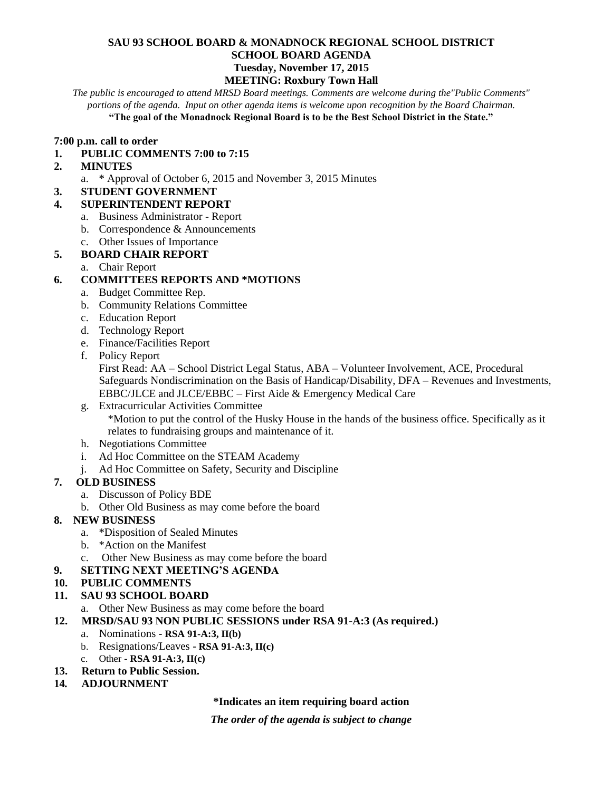#### **SAU 93 SCHOOL BOARD & MONADNOCK REGIONAL SCHOOL DISTRICT SCHOOL BOARD AGENDA Tuesday, November 17, 2015 MEETING: Roxbury Town Hall**

*The public is encouraged to attend MRSD Board meetings. Comments are welcome during the"Public Comments" portions of the agenda. Input on other agenda items is welcome upon recognition by the Board Chairman.* **"The goal of the Monadnock Regional Board is to be the Best School District in the State."**

#### **7:00 p.m. call to order**

### **1. PUBLIC COMMENTS 7:00 to 7:15**

### **2. MINUTES**

- a. \* Approval of October 6, 2015 and November 3, 2015 Minutes
- **3. STUDENT GOVERNMENT**

#### **4. SUPERINTENDENT REPORT**

- a. Business Administrator Report
- b. Correspondence & Announcements
- c. Other Issues of Importance

#### **5. BOARD CHAIR REPORT**

a. Chair Report

## **6. COMMITTEES REPORTS AND \*MOTIONS**

- a. Budget Committee Rep.
- b. Community Relations Committee
- c. Education Report
- d. Technology Report
- e. Finance/Facilities Report
- f. Policy Report

First Read: AA – School District Legal Status, ABA – Volunteer Involvement, ACE, Procedural Safeguards Nondiscrimination on the Basis of Handicap/Disability, DFA – Revenues and Investments, EBBC/JLCE and JLCE/EBBC – First Aide & Emergency Medical Care

- g. Extracurricular Activities Committee \*Motion to put the control of the Husky House in the hands of the business office. Specifically as it relates to fundraising groups and maintenance of it.
- h. Negotiations Committee
- i. Ad Hoc Committee on the STEAM Academy
- j. Ad Hoc Committee on Safety, Security and Discipline

## **7. OLD BUSINESS**

- a. Discusson of Policy BDE
- b. Other Old Business as may come before the board

## **8. NEW BUSINESS**

- a. \*Disposition of Sealed Minutes
- b. \*Action on the Manifest
- c. Other New Business as may come before the board

## **9. SETTING NEXT MEETING'S AGENDA**

#### **10. PUBLIC COMMENTS**

## **11. SAU 93 SCHOOL BOARD**

a. Other New Business as may come before the board

#### **12. MRSD/SAU 93 NON PUBLIC SESSIONS under RSA 91-A:3 (As required.)**

- a. Nominations **RSA 91-A:3, II(b)**
- b. Resignations/Leaves **RSA 91-A:3, II(c)**
- c. Other **- RSA 91-A:3, II(c)**
- **13. Return to Public Session.**

## **14***.* **ADJOURNMENT**

#### **\*Indicates an item requiring board action**

*The order of the agenda is subject to change*